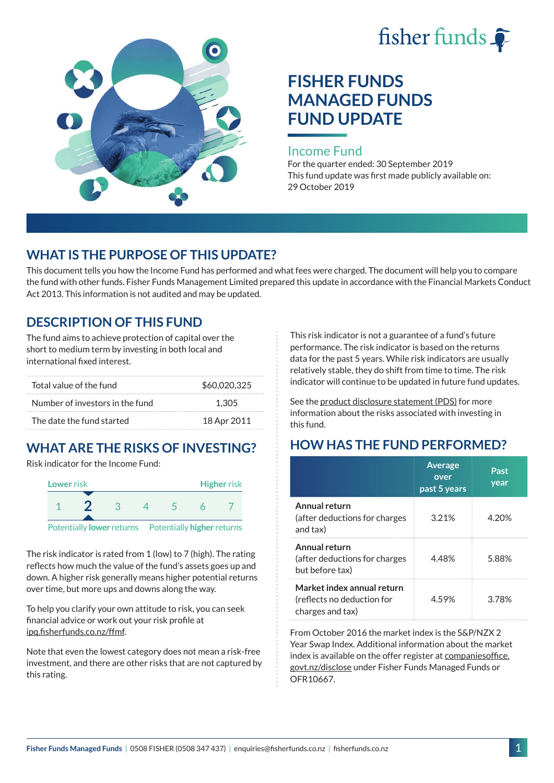



# **FISHER FUNDS MANAGED FUNDS FUND UPDATE**

#### Income Fund

For the quarter ended: 30 September 2019 This fund update was first made publicly available on: 29 October 2019

### **WHAT IS THE PURPOSE OF THIS UPDATE?**

This document tells you how the Income Fund has performed and what fees were charged. The document will help you to compare the fund with other funds. Fisher Funds Management Limited prepared this update in accordance with the Financial Markets Conduct Act 2013. This information is not audited and may be updated.

# **DESCRIPTION OF THIS FUND**

The fund aims to achieve protection of capital over the short to medium term by investing in both local and international fixed interest.

| Total value of the fund         | \$60,020,325 |
|---------------------------------|--------------|
| Number of investors in the fund | 1.305        |
| The date the fund started       | 18 Apr 2011  |

# **WHAT ARE THE RISKS OF INVESTING?**

Risk indicator for the Income Fund:



The risk indicator is rated from 1 (low) to 7 (high). The rating reflects how much the value of the fund's assets goes up and down. A higher risk generally means higher potential returns over time, but more ups and downs along the way.

To help you clarify your own attitude to risk, you can seek financial advice or work out your risk profile at [ipq.fisherfunds.co.nz/ffmf.](https://ipq.fisherfunds.co.nz/ffmf)

Note that even the lowest category does not mean a risk-free investment, and there are other risks that are not captured by this rating.

This risk indicator is not a guarantee of a fund's future performance. The risk indicator is based on the returns data for the past 5 years. While risk indicators are usually relatively stable, they do shift from time to time. The risk indicator will continue to be updated in future fund updates.

See the [product disclosure statement \(PDS\)](https://fisherfunds.co.nz/assets/PDS/Fisher-Funds-Managed-Funds-PDS.pdf) for more information about the risks associated with investing in this fund.

# **HOW HAS THE FUND PERFORMED?**

|                                                                              | <b>Average</b><br>over<br>past 5 years | Past<br>year |
|------------------------------------------------------------------------------|----------------------------------------|--------------|
| Annual return<br>(after deductions for charges<br>and tax)                   | 3.21%                                  | 4.20%        |
| Annual return<br>(after deductions for charges<br>but before tax)            | 4.48%                                  | 5.88%        |
| Market index annual return<br>(reflects no deduction for<br>charges and tax) | 459%                                   | 3 78%        |

From October 2016 the market index is the S&P/NZX 2 Year Swap Index. Additional information about the market index is available on the offer register at [companiesoffice.](http://companiesoffice.govt.nz/disclose) [govt.nz/disclose](http://companiesoffice.govt.nz/disclose) under Fisher Funds Managed Funds or OFR10667.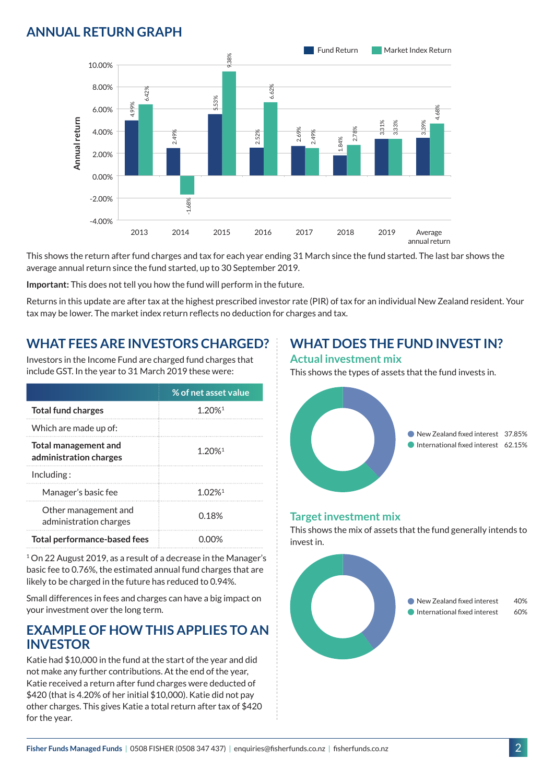# **ANNUAL RETURN GRAPH**



This shows the return after fund charges and tax for each year ending 31 March since the fund started. The last bar shows the average annual return since the fund started, up to 30 September 2019.

**Important:** This does not tell you how the fund will perform in the future.

Returns in this update are after tax at the highest prescribed investor rate (PIR) of tax for an individual New Zealand resident. Your tax may be lower. The market index return reflects no deduction for charges and tax.

### **WHAT FEES ARE INVESTORS CHARGED?**

Investors in the Income Fund are charged fund charges that include GST. In the year to 31 March 2019 these were:

|                                                | % of net asset value  |
|------------------------------------------------|-----------------------|
| <b>Total fund charges</b>                      | $1.20\%$ <sup>1</sup> |
| Which are made up of:                          |                       |
| Total management and<br>administration charges | 1.20%                 |
| Inding:                                        |                       |
| Manager's basic fee                            | 1 02%                 |
| Other management and<br>administration charges | 0.18 <sup>%</sup>     |
| Total performance-based fees                   |                       |

<sup>1</sup> On 22 August 2019, as a result of a decrease in the Manager's basic fee to 0.76%, the estimated annual fund charges that are likely to be charged in the future has reduced to 0.94%.

Small differences in fees and charges can have a big impact on your investment over the long term.

#### **EXAMPLE OF HOW THIS APPLIES TO AN INVESTOR**

Katie had \$10,000 in the fund at the start of the year and did not make any further contributions. At the end of the year, Katie received a return after fund charges were deducted of \$420 (that is 4.20% of her initial \$10,000). Katie did not pay other charges. This gives Katie a total return after tax of \$420 for the year.

#### **WHAT DOES THE FUND INVEST IN? Actual investment mix**

This shows the types of assets that the fund invests in.



#### **Target investment mix**

This shows the mix of assets that the fund generally intends to invest in.